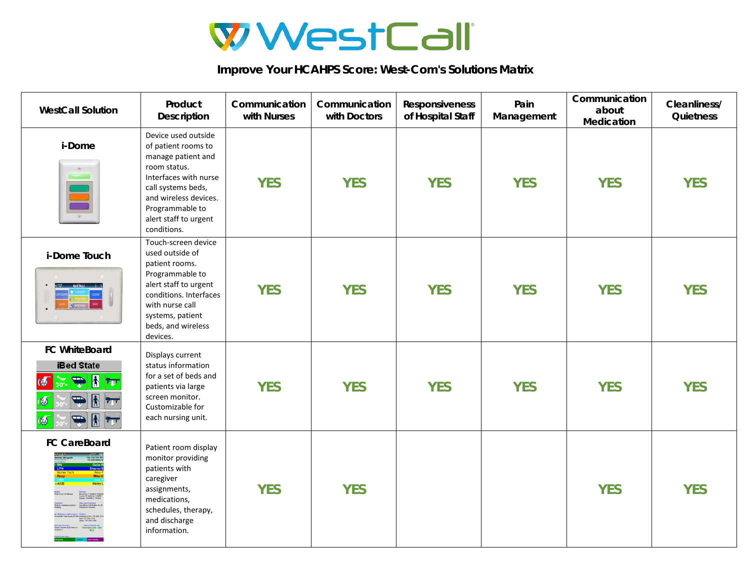

**Improve Your HCAHPS Score: West-Com's Solutions Matrix**

| <b>WestCall Solution</b>                                                                          | Product<br><b>Description</b>                                                                                                                                                                                       | Communication<br>with Nurses | Communication<br>with Doctors | Responsiveness<br>of Hospital Staff | Pain<br>Management | Communication<br>about<br>Medication | Cleanliness/<br>Quietness |
|---------------------------------------------------------------------------------------------------|---------------------------------------------------------------------------------------------------------------------------------------------------------------------------------------------------------------------|------------------------------|-------------------------------|-------------------------------------|--------------------|--------------------------------------|---------------------------|
| i-Dome                                                                                            | Device used outside<br>of patient rooms to<br>manage patient and<br>room status.<br>Interfaces with nurse<br>call systems beds,<br>and wireless devices.<br>Programmable to<br>alert staff to urgent<br>conditions. | <b>YES</b>                   | <b>YES</b>                    | <b>YES</b>                          | <b>YES</b>         | <b>YES</b>                           | <b>YES</b>                |
| i-Dome Touch                                                                                      | Touch-screen device<br>used outside of<br>patient rooms.<br>Programmable to<br>alert staff to urgent<br>conditions. Interfaces<br>with nurse call<br>systems, patient<br>beds, and wireless<br>devices.             | <b>YES</b>                   | <b>YES</b>                    | <b>YES</b>                          | <b>YES</b>         | <b>YES</b>                           | <b>YES</b>                |
| <b>FC WhiteBoard</b><br><b>iBed State</b><br>$\left  \mathbf{A} \right $<br>$ \nabla$<br>团<br>किय | Displays current<br>status information<br>for a set of beds and<br>patients via large<br>screen monitor.<br>Customizable for<br>each nursing unit.                                                                  | <b>YES</b>                   | <b>YES</b>                    | <b>YES</b>                          | <b>YES</b>         | <b>YES</b>                           | <b>YES</b>                |
| <b>FC CareBoard</b>                                                                               | Patient room display<br>monitor providing<br>patients with<br>caregiver<br>assignments,<br>medications,<br>schedules, therapy,<br>and discharge<br>information.                                                     | <b>YES</b>                   | <b>YES</b>                    |                                     |                    | <b>YES</b>                           | <b>YES</b>                |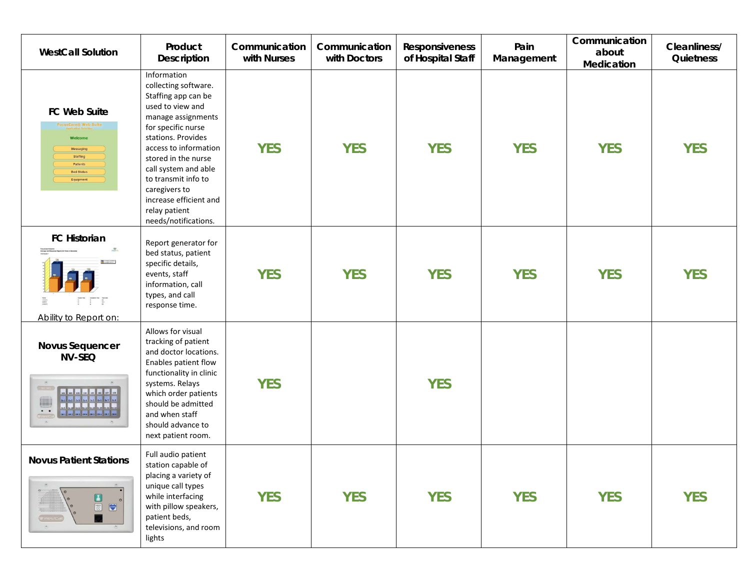| <b>WestCall Solution</b>                                                                                                                                                                                                                                                                                                                                                                                                                                                                                                                                                                                                                                                                                                                                    | Product<br>Description                                                                                                                                                                                                                                                                                                              | Communication<br>with Nurses | Communication<br>with Doctors | Responsiveness<br>of Hospital Staff | Pain<br>Management | Communication<br>about<br>Medication | Cleanliness/<br>Quietness |
|-------------------------------------------------------------------------------------------------------------------------------------------------------------------------------------------------------------------------------------------------------------------------------------------------------------------------------------------------------------------------------------------------------------------------------------------------------------------------------------------------------------------------------------------------------------------------------------------------------------------------------------------------------------------------------------------------------------------------------------------------------------|-------------------------------------------------------------------------------------------------------------------------------------------------------------------------------------------------------------------------------------------------------------------------------------------------------------------------------------|------------------------------|-------------------------------|-------------------------------------|--------------------|--------------------------------------|---------------------------|
| FC Web Suite<br><b>FocusCare® Web Suite</b><br>Welcome<br>Messaging<br>Staffing<br>Patients<br><b>Bed Status</b><br>Equipment                                                                                                                                                                                                                                                                                                                                                                                                                                                                                                                                                                                                                               | Information<br>collecting software.<br>Staffing app can be<br>used to view and<br>manage assignments<br>for specific nurse<br>stations. Provides<br>access to information<br>stored in the nurse<br>call system and able<br>to transmit info to<br>caregivers to<br>increase efficient and<br>relay patient<br>needs/notifications. | <b>YES</b>                   | <b>YES</b>                    | <b>YES</b>                          | <b>YES</b>         | <b>YES</b>                           | <b>YES</b>                |
| <b>FC Historian</b><br>$\mathcal{L}$<br>$\frac{1}{2}$ and $\frac{1}{2}$ and $\frac{1}{2}$<br>$\frac{1}{2}$ $\frac{1}{2}$ $\frac{1}{2}$<br>Ability to Report on:                                                                                                                                                                                                                                                                                                                                                                                                                                                                                                                                                                                             | Report generator for<br>bed status, patient<br>specific details,<br>events, staff<br>information, call<br>types, and call<br>response time.                                                                                                                                                                                         | <b>YES</b>                   | <b>YES</b>                    | <b>YES</b>                          | <b>YES</b>         | <b>YES</b>                           | <b>YES</b>                |
| <b>Novus Sequencer</b><br><b>NV-SEQ</b><br>(1.123)<br>101 102 103 104 105 106 107 108<br>in and the set of the set of the set of the set of the set of the set of the set of the set of the set of the set of the set of the set of the set of the set of the set of the set of the set of the set of the set of the se<br>$\bullet\quad\bullet$<br>$C = 1$<br>$\frac{1}{2} \frac{1}{2} \frac{1}{2} \frac{1}{2} \frac{1}{2} \frac{1}{2} \frac{1}{2} \frac{1}{2} \frac{1}{2} \frac{1}{2} \frac{1}{2} \frac{1}{2} \frac{1}{2} \frac{1}{2} \frac{1}{2} \frac{1}{2} \frac{1}{2} \frac{1}{2} \frac{1}{2} \frac{1}{2} \frac{1}{2} \frac{1}{2} \frac{1}{2} \frac{1}{2} \frac{1}{2} \frac{1}{2} \frac{1}{2} \frac{1}{2} \frac{1}{2} \frac{1}{2} \frac{1}{2} \frac{$ | Allows for visual<br>tracking of patient<br>and doctor locations.<br>Enables patient flow<br>functionality in clinic<br>systems. Relays<br>which order patients<br>should be admitted<br>and when staff<br>should advance to<br>next patient room.                                                                                  | <b>YES</b>                   |                               | <b>YES</b>                          |                    |                                      |                           |
| <b>Novus Patient Stations</b><br>$\blacksquare$<br>$\langle \vec{a}_i \rangle$                                                                                                                                                                                                                                                                                                                                                                                                                                                                                                                                                                                                                                                                              | Full audio patient<br>station capable of<br>placing a variety of<br>unique call types<br>while interfacing<br>with pillow speakers,<br>patient beds,<br>televisions, and room<br>lights                                                                                                                                             | <b>YES</b>                   | <b>YES</b>                    | <b>YES</b>                          | <b>YES</b>         | <b>YES</b>                           | <b>YES</b>                |